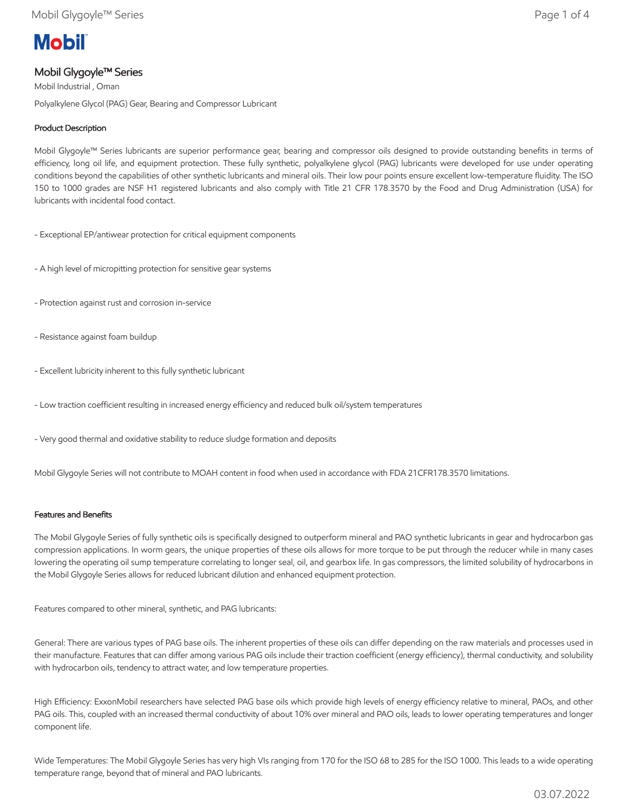# **Mobil**

## Mobil Glygoyle™ Series

Mobil Industrial , Oman Polyalkylene Glycol (PAG) Gear, Bearing and Compressor Lubricant

## Product Description

Mobil Glygoyle™ Series lubricants are superior performance gear, bearing and compressor oils designed to provide outstanding benefits in terms of efficiency, long oil life, and equipment protection. These fully synthetic, polyalkylene glycol (PAG) lubricants were developed for use under operating conditions beyond the capabilities of other synthetic lubricants and mineral oils. Their low pour points ensure excellent low-temperature fluidity. The ISO 150 to 1000 grades are NSF H1 registered lubricants and also comply with Title 21 CFR 178.3570 by the Food and Drug Administration (USA) for lubricants with incidental food contact.

- Exceptional EP/antiwear protection for critical equipment components
- A high level of micropitting protection for sensitive gear systems
- Protection against rust and corrosion in-service
- Resistance against foam buildup
- Excellent lubricity inherent to this fully synthetic lubricant
- Low traction coefficient resulting in increased energy efficiency and reduced bulk oil/system temperatures
- Very good thermal and oxidative stability to reduce sludge formation and deposits

Mobil Glygoyle Series will not contribute to MOAH content in food when used in accordance with FDA 21CFR178.3570 limitations.

### Features and Benefits

The Mobil Glygoyle Series of fully synthetic oils is specifically designed to outperform mineral and PAO synthetic lubricants in gear and hydrocarbon gas compression applications. In worm gears, the unique properties of these oils allows for more torque to be put through the reducer while in many cases lowering the operating oil sump temperature correlating to longer seal, oil, and gearbox life. In gas compressors, the limited solubility of hydrocarbons in the Mobil Glygoyle Series allows for reduced lubricant dilution and enhanced equipment protection.

Features compared to other mineral, synthetic, and PAG lubricants:

General: There are various types of PAG base oils. The inherent properties of these oils can differ depending on the raw materials and processes used in their manufacture. Features that can differ among various PAG oils include their traction coefficient (energy efficiency), thermal conductivity, and solubility with hydrocarbon oils, tendency to attract water, and low temperature properties.

High Efficiency: ExxonMobil researchers have selected PAG base oils which provide high levels of energy efficiency relative to mineral, PAOs, and other PAG oils. This, coupled with an increased thermal conductivity of about 10% over mineral and PAO oils, leads to lower operating temperatures and longer component life.

Wide Temperatures: The Mobil Glygoyle Series has very high VIs ranging from 170 for the ISO 68 to 285 for the ISO 1000. This leads to a wide operating temperature range, beyond that of mineral and PAO lubricants.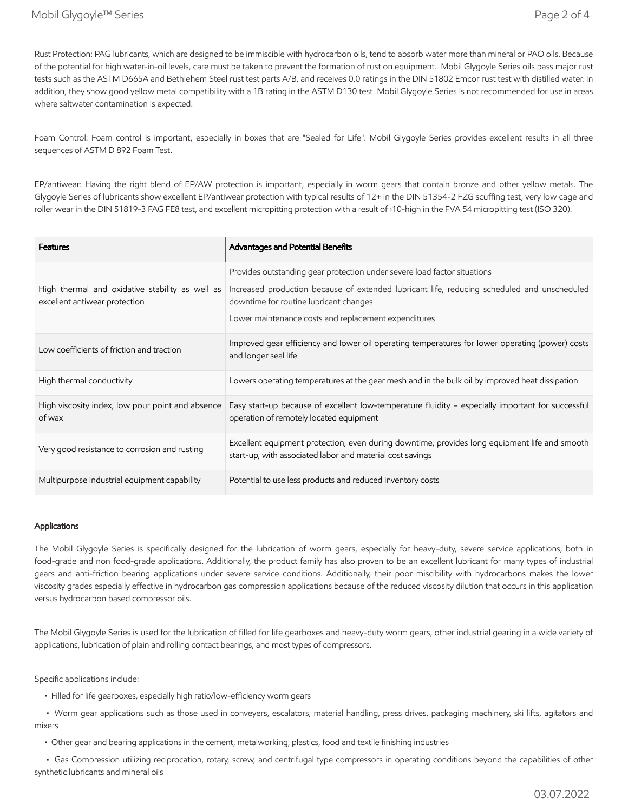Rust Protection: PAG lubricants, which are designed to be immiscible with hydrocarbon oils, tend to absorb water more than mineral or PAO oils. Because of the potential for high water-in-oil levels, care must be taken to prevent the formation of rust on equipment. Mobil Glygoyle Series oils pass major rust tests such as the ASTM D665A and Bethlehem Steel rust test parts A/B, and receives 0,0 ratings in the DIN 51802 Emcor rust test with distilled water. In addition, they show good yellow metal compatibility with a 1B rating in the ASTM D130 test. Mobil Glygoyle Series is not recommended for use in areas where saltwater contamination is expected.

Foam Control: Foam control is important, especially in boxes that are "Sealed for Life". Mobil Glygoyle Series provides excellent results in all three sequences of ASTM D 892 Foam Test.

EP/antiwear: Having the right blend of EP/AW protection is important, especially in worm gears that contain bronze and other yellow metals. The Glygoyle Series of lubricants show excellent EP/antiwear protection with typical results of 12+ in the DIN 51354-2 FZG scuffing test, very low cage and roller wear in the DIN 51819-3 FAG FE8 test, and excellent micropitting protection with a result of ›10-high in the FVA 54 micropitting test (ISO 320).

| <b>Features</b>                                                                  | Advantages and Potential Benefits                                                                                                                          |
|----------------------------------------------------------------------------------|------------------------------------------------------------------------------------------------------------------------------------------------------------|
|                                                                                  | Provides outstanding gear protection under severe load factor situations                                                                                   |
| High thermal and oxidative stability as well as<br>excellent antiwear protection | Increased production because of extended lubricant life, reducing scheduled and unscheduled<br>downtime for routine lubricant changes                      |
|                                                                                  | Lower maintenance costs and replacement expenditures                                                                                                       |
| Low coefficients of friction and traction                                        | Improved gear efficiency and lower oil operating temperatures for lower operating (power) costs<br>and longer seal life                                    |
| High thermal conductivity                                                        | Lowers operating temperatures at the gear mesh and in the bulk oil by improved heat dissipation                                                            |
| High viscosity index, low pour point and absence<br>of wax                       | Easy start-up because of excellent low-temperature fluidity - especially important for successful<br>operation of remotely located equipment               |
| Very good resistance to corrosion and rusting                                    | Excellent equipment protection, even during downtime, provides long equipment life and smooth<br>start-up, with associated labor and material cost savings |
| Multipurpose industrial equipment capability                                     | Potential to use less products and reduced inventory costs                                                                                                 |

#### Applications

The Mobil Glygoyle Series is specifically designed for the lubrication of worm gears, especially for heavy-duty, severe service applications, both in food-grade and non food-grade applications. Additionally, the product family has also proven to be an excellent lubricant for many types of industrial gears and anti-friction bearing applications under severe service conditions. Additionally, their poor miscibility with hydrocarbons makes the lower viscosity grades especially effective in hydrocarbon gas compression applications because of the reduced viscosity dilution that occurs in this application versus hydrocarbon based compressor oils.

The Mobil Glygoyle Series is used for the lubrication of filled for life gearboxes and heavy-duty worm gears, other industrial gearing in a wide variety of applications, lubrication of plain and rolling contact bearings, and most types of compressors.

Specific applications include:

• Filled for life gearboxes, especially high ratio/low-efficiency worm gears

 • Worm gear applications such as those used in conveyers, escalators, material handling, press drives, packaging machinery, ski lifts, agitators and mixers

• Other gear and bearing applications in the cement, metalworking, plastics, food and textile finishing industries

 • Gas Compression utilizing reciprocation, rotary, screw, and centrifugal type compressors in operating conditions beyond the capabilities of other synthetic lubricants and mineral oils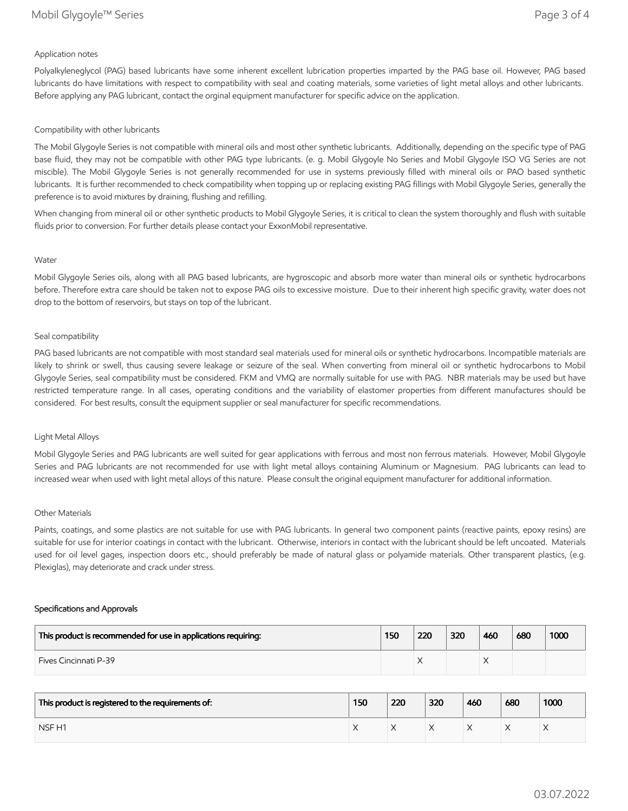#### Application notes

Polyalkyleneglycol (PAG) based lubricants have some inherent excellent lubrication properties imparted by the PAG base oil. However, PAG based lubricants do have limitations with respect to compatibility with seal and coating materials, some varieties of light metal alloys and other lubricants. Before applying any PAG lubricant, contact the orginal equipment manufacturer for specific advice on the application.

#### Compatibility with other lubricants

The Mobil Glygoyle Series is not compatible with mineral oils and most other synthetic lubricants. Additionally, depending on the specific type of PAG base fluid, they may not be compatible with other PAG type lubricants. (e. g. Mobil Glygoyle No Series and Mobil Glygoyle ISO VG Series are not miscible). The Mobil Glygoyle Series is not generally recommended for use in systems previously filled with mineral oils or PAO based synthetic lubricants. It is further recommended to check compatibility when topping up or replacing existing PAG fillings with Mobil Glygoyle Series, generally the preference is to avoid mixtures by draining, flushing and refilling.

When changing from mineral oil or other synthetic products to Mobil Glygoyle Series, it is critical to clean the system thoroughly and flush with suitable fluids prior to conversion. For further details please contact your ExxonMobil representative.

#### Water

Mobil Glygoyle Series oils, along with all PAG based lubricants, are hygroscopic and absorb more water than mineral oils or synthetic hydrocarbons before. Therefore extra care should be taken not to expose PAG oils to excessive moisture. Due to their inherent high specific gravity, water does not drop to the bottom of reservoirs, but stays on top of the lubricant.

#### Seal compatibility

PAG based lubricants are not compatible with most standard seal materials used for mineral oils or synthetic hydrocarbons. Incompatible materials are likely to shrink or swell, thus causing severe leakage or seizure of the seal. When converting from mineral oil or synthetic hydrocarbons to Mobil Glygoyle Series, seal compatibility must be considered. FKM and VMQ are normally suitable for use with PAG. NBR materials may be used but have restricted temperature range. In all cases, operating conditions and the variability of elastomer properties from different manufactures should be considered. For best results, consult the equipment supplier or seal manufacturer for specific recommendations.

#### Light Metal Alloys

Mobil Glygoyle Series and PAG lubricants are well suited for gear applications with ferrous and most non ferrous materials. However, Mobil Glygoyle Series and PAG lubricants are not recommended for use with light metal alloys containing Aluminum or Magnesium. PAG lubricants can lead to increased wear when used with light metal alloys of this nature. Please consult the original equipment manufacturer for additional information.

#### Other Materials

Paints, coatings, and some plastics are not suitable for use with PAG lubricants. In general two component paints (reactive paints, epoxy resins) are suitable for use for interior coatings in contact with the lubricant. Otherwise, interiors in contact with the lubricant should be left uncoated. Materials used for oil level gages, inspection doors etc., should preferably be made of natural glass or polyamide materials. Other transparent plastics, (e.g. Plexiglas), may deteriorate and crack under stress.

#### Specifications and Approvals

| This product is recommended for use in applications requiring: | 150 | 220 | 320 | 460 | 680 | 1000 |
|----------------------------------------------------------------|-----|-----|-----|-----|-----|------|
| <b>Fives Cincinnati P-39</b>                                   |     | ∧   |     |     |     |      |

| This product is registered to the requirements of: | 150 | 220 | 320 | 460 | 680 | 1000 |
|----------------------------------------------------|-----|-----|-----|-----|-----|------|
| NSF <sub>H1</sub>                                  |     |     |     |     | ∧   |      |